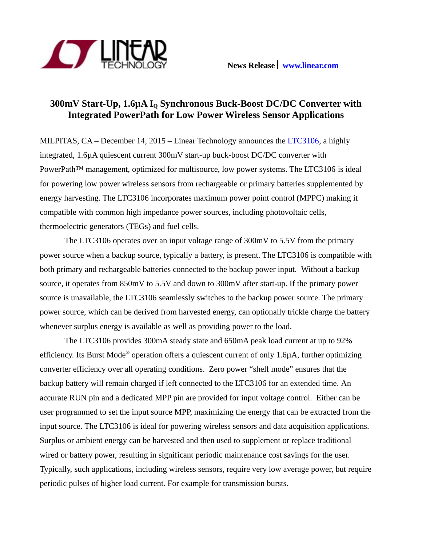

# **300mV Start-Up, 1.6µA IQ Synchronous Buck-Boost DC/DC Converter with Integrated PowerPath for Low Power Wireless Sensor Applications**

MILPITAS, CA – December 14, 2015 – Linear Technology announces the [LTC3106,](http://www.linear.com/product/LTC3106) a highly integrated, 1.6µA quiescent current 300mV start-up buck-boost DC/DC converter with PowerPath™ management, optimized for multisource, low power systems. The LTC3106 is ideal for powering low power wireless sensors from rechargeable or primary batteries supplemented by energy harvesting. The LTC3106 incorporates maximum power point control (MPPC) making it compatible with common high impedance power sources, including photovoltaic cells, thermoelectric generators (TEGs) and fuel cells.

The LTC3106 operates over an input voltage range of 300mV to 5.5V from the primary power source when a backup source, typically a battery, is present. The LTC3106 is compatible with both primary and rechargeable batteries connected to the backup power input. Without a backup source, it operates from 850mV to 5.5V and down to 300mV after start-up. If the primary power source is unavailable, the LTC3106 seamlessly switches to the backup power source. The primary power source, which can be derived from harvested energy, can optionally trickle charge the battery whenever surplus energy is available as well as providing power to the load.

The LTC3106 provides 300mA steady state and 650mA peak load current at up to 92% efficiency. Its Burst Mode® operation offers a quiescent current of only 1.6µA, further optimizing converter efficiency over all operating conditions. Zero power "shelf mode" ensures that the backup battery will remain charged if left connected to the LTC3106 for an extended time. An accurate RUN pin and a dedicated MPP pin are provided for input voltage control. Either can be user programmed to set the input source MPP, maximizing the energy that can be extracted from the input source. The LTC3106 is ideal for powering wireless sensors and data acquisition applications. Surplus or ambient energy can be harvested and then used to supplement or replace traditional wired or battery power, resulting in significant periodic maintenance cost savings for the user. Typically, such applications, including wireless sensors, require very low average power, but require periodic pulses of higher load current. For example for transmission bursts.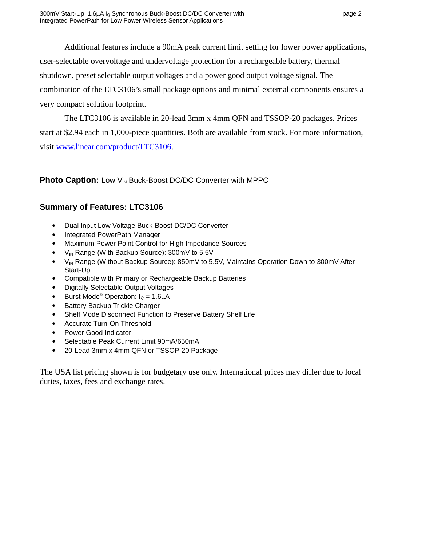Additional features include a 90mA peak current limit setting for lower power applications, user-selectable overvoltage and undervoltage protection for a rechargeable battery, thermal shutdown, preset selectable output voltages and a power good output voltage signal. The combination of the LTC3106's small package options and minimal external components ensures a very compact solution footprint.

The LTC3106 is available in 20-lead 3mm x 4mm QFN and TSSOP-20 packages. Prices start at \$2.94 each in 1,000-piece quantities. Both are available from stock. For more information, visit [www.linear.com/product/LTC3106.](http://www.linear.com/product/LTC3106)

## **Photo Caption:** Low V<sub>IN</sub> Buck-Boost DC/DC Converter with MPPC

## **Summary of Features: LTC3106**

- Dual Input Low Voltage Buck-Boost DC/DC Converter
- Integrated PowerPath Manager
- Maximum Power Point Control for High Impedance Sources
- $V_{IN}$  Range (With Backup Source): 300mV to 5.5V
- V<sub>IN</sub> Range (Without Backup Source): 850mV to 5.5V, Maintains Operation Down to 300mV After Start-Up
- Compatible with Primary or Rechargeable Backup Batteries
- Digitally Selectable Output Voltages
- **•** Burst Mode<sup>®</sup> Operation:  $I_0 = 1.6\mu A$
- Battery Backup Trickle Charger
- Shelf Mode Disconnect Function to Preserve Battery Shelf Life
- Accurate Turn-On Threshold
- Power Good Indicator
- Selectable Peak Current Limit 90mA/650mA
- 20-Lead 3mm x 4mm QFN or TSSOP-20 Package

The USA list pricing shown is for budgetary use only. International prices may differ due to local duties, taxes, fees and exchange rates.